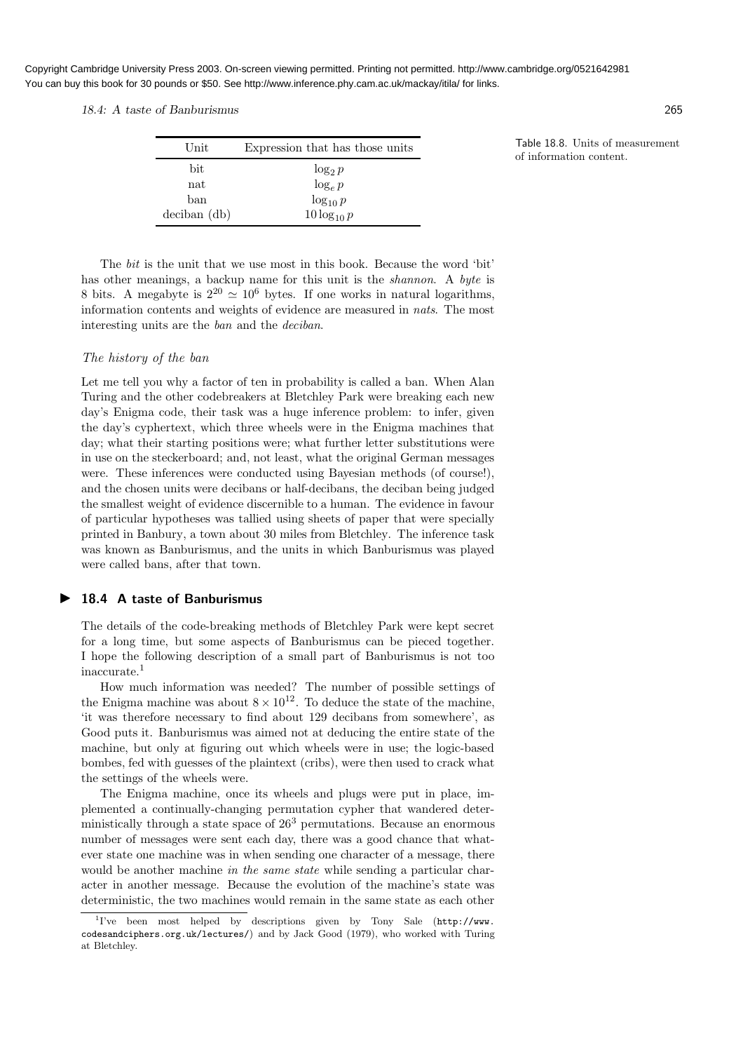| 18.4: A taste of Banburismus |  |
|------------------------------|--|
|------------------------------|--|

| $\operatorname{Unit}$ | Expression that has those units |
|-----------------------|---------------------------------|
| bit                   | $\log_2 p$                      |
| nat                   | $\log_e p$                      |
| ban                   | $\log_{10} p$                   |
| $deciban$ $(db)$      | $10\log_{10} p$                 |

The bit is the unit that we use most in this book. Because the word 'bit' has other meanings, a backup name for this unit is the *shannon*. A byte is 8 bits. A megabyte is  $2^{20} \simeq 10^6$  bytes. If one works in natural logarithms, information contents and weights of evidence are measured in nats. The most interesting units are the ban and the deciban.

#### The history of the ban

Let me tell you why a factor of ten in probability is called a ban. When Alan Turing and the other codebreakers at Bletchley Park were breaking each new day's Enigma code, their task was a huge inference problem: to infer, given the day's cyphertext, which three wheels were in the Enigma machines that day; what their starting positions were; what further letter substitutions were in use on the steckerboard; and, not least, what the original German messages were. These inferences were conducted using Bayesian methods (of course!), and the chosen units were decibans or half-decibans, the deciban being judged the smallest weight of evidence discernible to a human. The evidence in favour of particular hypotheses was tallied using sheets of paper that were specially printed in Banbury, a town about 30 miles from Bletchley. The inference task was known as Banburismus, and the units in which Banburismus was played were called bans, after that town.

# ▶ 18.4 A taste of Banburismus

The details of the code-breaking methods of Bletchley Park were kept secret for a long time, but some aspects of Banburismus can be pieced together. I hope the following description of a small part of Banburismus is not too inaccurate.<sup>1</sup>

How much information was needed? The number of possible settings of the Enigma machine was about  $8 \times 10^{12}$ . To deduce the state of the machine, 'it was therefore necessary to find about 129 decibans from somewhere', as Good puts it. Banburismus was aimed not at deducing the entire state of the machine, but only at figuring out which wheels were in use; the logic-based bombes, fed with guesses of the plaintext (cribs), were then used to crack what the settings of the wheels were.

The Enigma machine, once its wheels and plugs were put in place, implemented a continually-changing permutation cypher that wandered deterministically through a state space of  $26<sup>3</sup>$  permutations. Because an enormous number of messages were sent each day, there was a good chance that whatever state one machine was in when sending one character of a message, there would be another machine in the same state while sending a particular character in another message. Because the evolution of the machine's state was deterministic, the two machines would remain in the same state as each other Table 18.8. Units of measurement of information content.

<sup>&</sup>lt;sup>1</sup>I've been most helped by descriptions given by Tony Sale (http://www. codesandciphers.org.uk/lectures/) and by Jack Good (1979), who worked with Turing at Bletchley.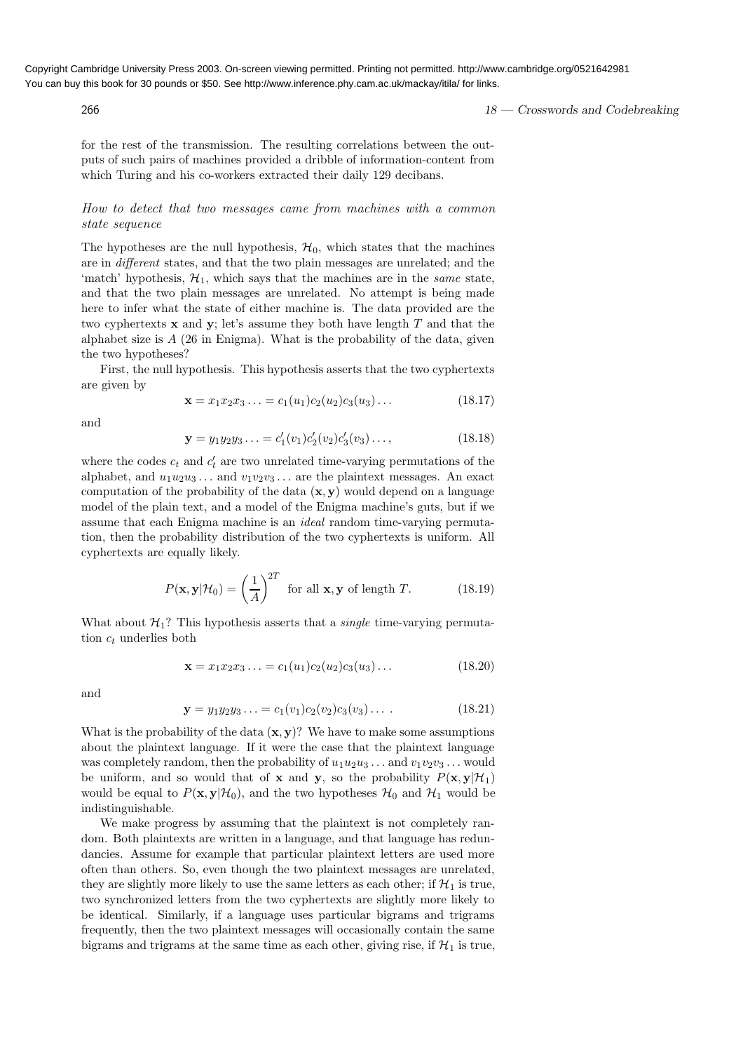$18 -$  Crosswords and Codebreaking

for the rest of the transmission. The resulting correlations between the outputs of such pairs of machines provided a dribble of information-content from which Turing and his co-workers extracted their daily 129 decibans.

# How to detect that two messages came from machines with a common state sequence

The hypotheses are the null hypothesis,  $\mathcal{H}_0$ , which states that the machines are in different states, and that the two plain messages are unrelated; and the 'match' hypothesis,  $\mathcal{H}_1$ , which says that the machines are in the same state, and that the two plain messages are unrelated. No attempt is being made here to infer what the state of either machine is. The data provided are the two cyphertexts  $x$  and  $y$ ; let's assume they both have length  $T$  and that the alphabet size is  $A$  (26 in Enigma). What is the probability of the data, given the two hypotheses?

First, the null hypothesis. This hypothesis asserts that the two cyphertexts are given by

$$
\mathbf{x} = x_1 x_2 x_3 \dots = c_1(u_1) c_2(u_2) c_3(u_3) \dots \tag{18.17}
$$

and

$$
\mathbf{y} = y_1 y_2 y_3 \dots = c'_1(v_1) c'_2(v_2) c'_3(v_3) \dots, \tag{18.18}
$$

where the codes  $c_t$  and  $c'_t$  are two unrelated time-varying permutations of the alphabet, and  $u_1u_2u_3\ldots$  and  $v_1v_2v_3\ldots$  are the plaintext messages. An exact computation of the probability of the data  $(x, y)$  would depend on a language model of the plain text, and a model of the Enigma machine's guts, but if we assume that each Enigma machine is an ideal random time-varying permutation, then the probability distribution of the two cyphertexts is uniform. All cyphertexts are equally likely.

$$
P(\mathbf{x}, \mathbf{y} | \mathcal{H}_0) = \left(\frac{1}{A}\right)^{2T} \text{ for all } \mathbf{x}, \mathbf{y} \text{ of length } T. \tag{18.19}
$$

What about  $\mathcal{H}_1$ ? This hypothesis asserts that a *single* time-varying permutation  $c_t$  underlies both

$$
\mathbf{x} = x_1 x_2 x_3 \dots = c_1(u_1) c_2(u_2) c_3(u_3) \dots \tag{18.20}
$$

and

$$
\mathbf{y} = y_1 y_2 y_3 \dots = c_1(v_1) c_2(v_2) c_3(v_3) \dots \tag{18.21}
$$

What is the probability of the data  $(x, y)$ ? We have to make some assumptions about the plaintext language. If it were the case that the plaintext language was completely random, then the probability of  $u_1u_2u_3 \ldots$  and  $v_1v_2v_3 \ldots$  would be uniform, and so would that of **x** and **y**, so the probability  $P(\mathbf{x}, \mathbf{y}|\mathcal{H}_1)$ would be equal to  $P(\mathbf{x}, \mathbf{y}|\mathcal{H}_0)$ , and the two hypotheses  $\mathcal{H}_0$  and  $\mathcal{H}_1$  would be indistinguishable.

We make progress by assuming that the plaintext is not completely random. Both plaintexts are written in a language, and that language has redundancies. Assume for example that particular plaintext letters are used more often than others. So, even though the two plaintext messages are unrelated, they are slightly more likely to use the same letters as each other; if  $\mathcal{H}_1$  is true, two synchronized letters from the two cyphertexts are slightly more likely to be identical. Similarly, if a language uses particular bigrams and trigrams frequently, then the two plaintext messages will occasionally contain the same bigrams and trigrams at the same time as each other, giving rise, if  $\mathcal{H}_1$  is true,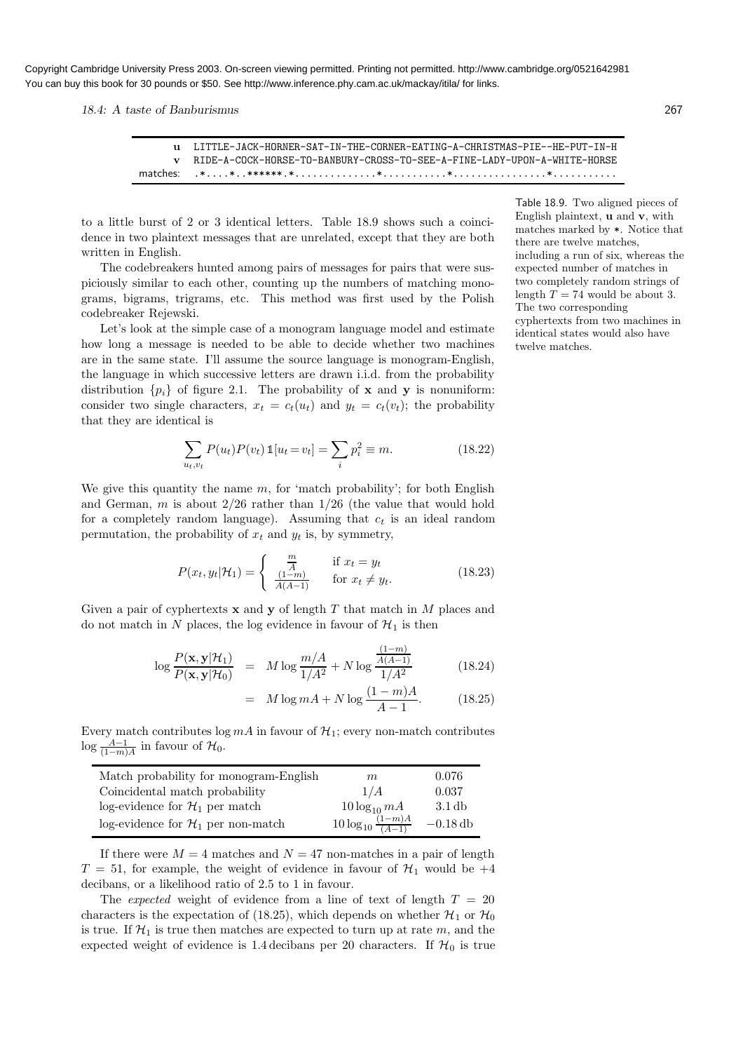18.4: A taste of Banburismus 267

| u LITTLE-JACK-HORNER-SAT-IN-THE-CORNER-EATING-A-CHRISTMAS-PIE--HE-PUT-IN-H |
|----------------------------------------------------------------------------|
| v RIDE-A-COCK-HORSE-TO-BANBURY-CROSS-TO-SEE-A-FINE-LADY-UPON-A-WHITE-HORSE |
|                                                                            |

to a little burst of 2 or 3 identical letters. Table 18.9 shows such a coincidence in two plaintext messages that are unrelated, except that they are both written in English.

The codebreakers hunted among pairs of messages for pairs that were suspiciously similar to each other, counting up the numbers of matching monograms, bigrams, trigrams, etc. This method was first used by the Polish codebreaker Rejewski.

Let's look at the simple case of a monogram language model and estimate how long a message is needed to be able to decide whether two machines are in the same state. I'll assume the source language is monogram-English, the language in which successive letters are drawn i.i.d. from the probability distribution  $\{p_i\}$  of figure 2.1. The probability of **x** and **y** is nonuniform: consider two single characters,  $x_t = c_t(u_t)$  and  $y_t = c_t(v_t)$ ; the probability that they are identical is

$$
\sum_{u_t, v_t} P(u_t) P(v_t) \mathbb{1}[u_t = v_t] = \sum_i p_i^2 \equiv m.
$$
\n(18.22)

We give this quantity the name  $m$ , for 'match probability'; for both English and German, m is about  $2/26$  rather than  $1/26$  (the value that would hold for a completely random language). Assuming that  $c_t$  is an ideal random permutation, the probability of  $x_t$  and  $y_t$  is, by symmetry,

$$
P(x_t, y_t | \mathcal{H}_1) = \begin{cases} \frac{m}{A} & \text{if } x_t = y_t \\ \frac{(1-m)}{A(A-1)} & \text{for } x_t \neq y_t. \end{cases}
$$
 (18.23)

Given a pair of cyphertexts  $x$  and  $y$  of length  $T$  that match in  $M$  places and do not match in N places, the log evidence in favour of  $\mathcal{H}_1$  is then

$$
\log \frac{P(\mathbf{x}, \mathbf{y} | \mathcal{H}_1)}{P(\mathbf{x}, \mathbf{y} | \mathcal{H}_0)} = M \log \frac{m/A}{1/A^2} + N \log \frac{\frac{(1-m)}{A(A-1)}}{1/A^2}
$$
(18.24)

$$
= M \log mA + N \log \frac{(1-m)A}{A-1}.
$$
 (18.25)

Every match contributes  $\log mA$  in favour of  $\mathcal{H}_1$ ; every non-match contributes  $\log \frac{A-1}{(1-m)A}$  in favour of  $\mathcal{H}_0$ .

| Match probability for monogram-English         | m                                 | 0.076      |
|------------------------------------------------|-----------------------------------|------------|
| Coincidental match probability                 | 1/A                               | 0.037      |
| log-evidence for $\mathcal{H}_1$ per match     | $10\log_{10}mA$                   | 3.1 db     |
| log-evidence for $\mathcal{H}_1$ per non-match | $10\log_{10}\frac{(1-m)A}{(A-1)}$ | $-0.18$ db |

If there were  $M = 4$  matches and  $N = 47$  non-matches in a pair of length  $T = 51$ , for example, the weight of evidence in favour of  $\mathcal{H}_1$  would be  $+4$ decibans, or a likelihood ratio of 2.5 to 1 in favour.

The *expected* weight of evidence from a line of text of length  $T = 20$ characters is the expectation of (18.25), which depends on whether  $\mathcal{H}_1$  or  $\mathcal{H}_0$ is true. If  $\mathcal{H}_1$  is true then matches are expected to turn up at rate m, and the expected weight of evidence is 1.4 decibans per 20 characters. If  $\mathcal{H}_0$  is true Table 18.9. Two aligned pieces of English plaintext, u and v, with matches marked by \*. Notice that there are twelve matches, including a run of six, whereas the expected number of matches in two completely random strings of length  $T = 74$  would be about 3. The two corresponding cyphertexts from two machines in identical states would also have twelve matches.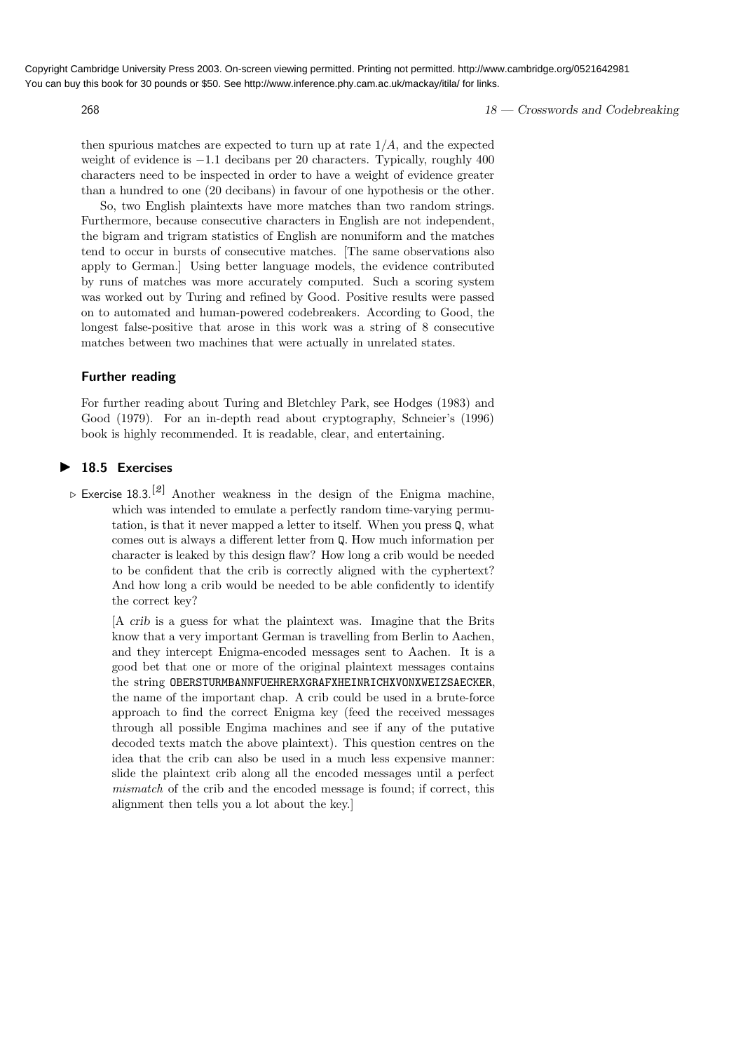$18 -$  Crosswords and Codebreaking

then spurious matches are expected to turn up at rate  $1/A$ , and the expected weight of evidence is  $-1.1$  decibans per 20 characters. Typically, roughly 400 characters need to be inspected in order to have a weight of evidence greater than a hundred to one (20 decibans) in favour of one hypothesis or the other.

So, two English plaintexts have more matches than two random strings. Furthermore, because consecutive characters in English are not independent, the bigram and trigram statistics of English are nonuniform and the matches tend to occur in bursts of consecutive matches. [The same observations also apply to German.] Using better language models, the evidence contributed by runs of matches was more accurately computed. Such a scoring system was worked out by Turing and refined by Good. Positive results were passed on to automated and human-powered codebreakers. According to Good, the longest false-positive that arose in this work was a string of 8 consecutive matches between two machines that were actually in unrelated states.

# Further reading

For further reading about Turing and Bletchley Park, see Hodges (1983) and Good (1979). For an in-depth read about cryptography, Schneier's (1996) book is highly recommended. It is readable, clear, and entertaining.

# ▶ 18.5 Exercises

 $\triangleright$  Exercise 18.3.<sup>[2]</sup> Another weakness in the design of the Enigma machine, which was intended to emulate a perfectly random time-varying permutation, is that it never mapped a letter to itself. When you press Q, what comes out is always a different letter from Q. How much information per character is leaked by this design flaw? How long a crib would be needed to be confident that the crib is correctly aligned with the cyphertext? And how long a crib would be needed to be able confidently to identify the correct key?

> [A crib is a guess for what the plaintext was. Imagine that the Brits know that a very important German is travelling from Berlin to Aachen, and they intercept Enigma-encoded messages sent to Aachen. It is a good bet that one or more of the original plaintext messages contains the string OBERSTURMBANNFUEHRERXGRAFXHEINRICHXVONXWEIZSAECKER, the name of the important chap. A crib could be used in a brute-force approach to find the correct Enigma key (feed the received messages through all possible Engima machines and see if any of the putative decoded texts match the above plaintext). This question centres on the idea that the crib can also be used in a much less expensive manner: slide the plaintext crib along all the encoded messages until a perfect mismatch of the crib and the encoded message is found; if correct, this alignment then tells you a lot about the key.]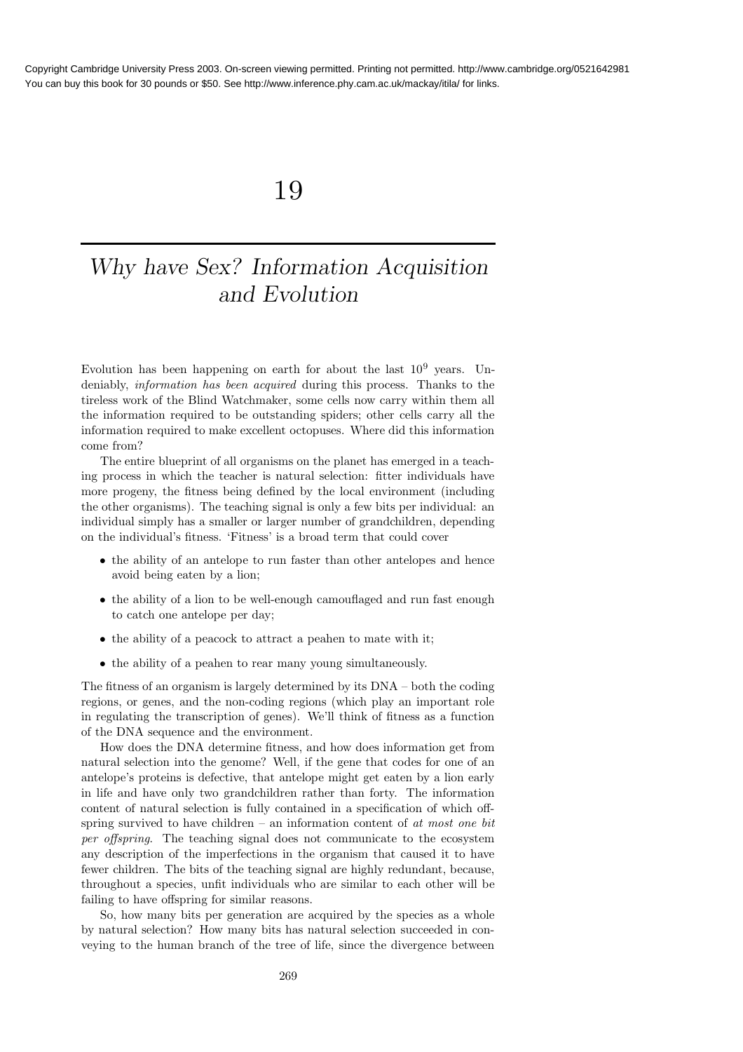# 19

# Why have Sex? Information Acquisition and Evolution

Evolution has been happening on earth for about the last  $10^9$  years. Undeniably, information has been acquired during this process. Thanks to the tireless work of the Blind Watchmaker, some cells now carry within them all the information required to be outstanding spiders; other cells carry all the information required to make excellent octopuses. Where did this information come from?

The entire blueprint of all organisms on the planet has emerged in a teaching process in which the teacher is natural selection: fitter individuals have more progeny, the fitness being defined by the local environment (including the other organisms). The teaching signal is only a few bits per individual: an individual simply has a smaller or larger number of grandchildren, depending on the individual's fitness. 'Fitness' is a broad term that could cover

- the ability of an antelope to run faster than other antelopes and hence avoid being eaten by a lion;
- the ability of a lion to be well-enough camouflaged and run fast enough to catch one antelope per day;
- the ability of a peacock to attract a peahen to mate with it;
- the ability of a peahen to rear many young simultaneously.

The fitness of an organism is largely determined by its DNA – both the coding regions, or genes, and the non-coding regions (which play an important role in regulating the transcription of genes). We'll think of fitness as a function of the DNA sequence and the environment.

How does the DNA determine fitness, and how does information get from natural selection into the genome? Well, if the gene that codes for one of an antelope's proteins is defective, that antelope might get eaten by a lion early in life and have only two grandchildren rather than forty. The information content of natural selection is fully contained in a specification of which offspring survived to have children – an information content of at most one bit per offspring. The teaching signal does not communicate to the ecosystem any description of the imperfections in the organism that caused it to have fewer children. The bits of the teaching signal are highly redundant, because, throughout a species, unfit individuals who are similar to each other will be failing to have offspring for similar reasons.

So, how many bits per generation are acquired by the species as a whole by natural selection? How many bits has natural selection succeeded in conveying to the human branch of the tree of life, since the divergence between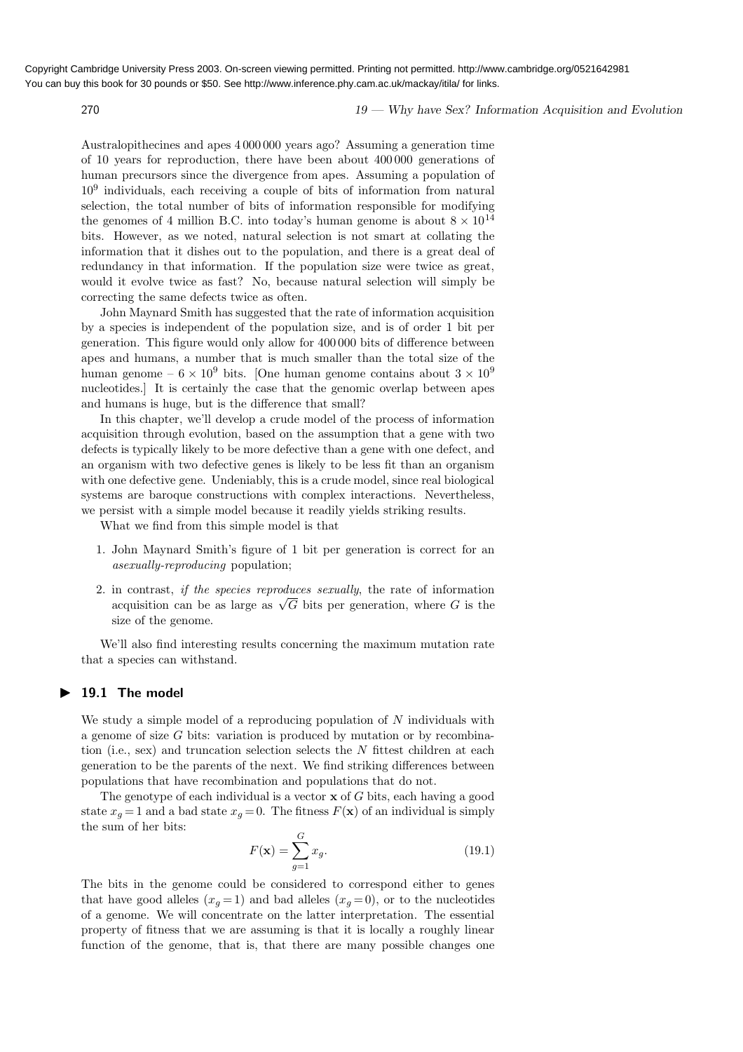270 19 — Why have Sex? Information Acquisition and Evolution

Australopithecines and apes 4 000 000 years ago? Assuming a generation time of 10 years for reproduction, there have been about 400 000 generations of human precursors since the divergence from apes. Assuming a population of 10<sup>9</sup> individuals, each receiving a couple of bits of information from natural selection, the total number of bits of information responsible for modifying the genomes of 4 million B.C. into today's human genome is about  $8 \times 10^{14}$ bits. However, as we noted, natural selection is not smart at collating the information that it dishes out to the population, and there is a great deal of redundancy in that information. If the population size were twice as great, would it evolve twice as fast? No, because natural selection will simply be correcting the same defects twice as often.

John Maynard Smith has suggested that the rate of information acquisition by a species is independent of the population size, and is of order 1 bit per generation. This figure would only allow for 400 000 bits of difference between apes and humans, a number that is much smaller than the total size of the human genome –  $6 \times 10^9$  bits. [One human genome contains about  $3 \times 10^9$ nucleotides.] It is certainly the case that the genomic overlap between apes and humans is huge, but is the difference that small?

In this chapter, we'll develop a crude model of the process of information acquisition through evolution, based on the assumption that a gene with two defects is typically likely to be more defective than a gene with one defect, and an organism with two defective genes is likely to be less fit than an organism with one defective gene. Undeniably, this is a crude model, since real biological systems are baroque constructions with complex interactions. Nevertheless, we persist with a simple model because it readily yields striking results.

What we find from this simple model is that

- 1. John Maynard Smith's figure of 1 bit per generation is correct for an asexually-reproducing population;
- 2. in contrast, if the species reproduces sexually, the rate of information acquisition can be as large as  $\sqrt{G}$  bits per generation, where G is the size of the genome.

We'll also find interesting results concerning the maximum mutation rate that a species can withstand.

#### ▶ 19.1 The model

We study a simple model of a reproducing population of  $N$  individuals with a genome of size  $G$  bits: variation is produced by mutation or by recombination (i.e., sex) and truncation selection selects the  $N$  fittest children at each generation to be the parents of the next. We find striking differences between populations that have recombination and populations that do not.

The genotype of each individual is a vector  $x$  of  $G$  bits, each having a good state  $x_g = 1$  and a bad state  $x_g = 0$ . The fitness  $F(\mathbf{x})$  of an individual is simply the sum of her bits:

$$
F(\mathbf{x}) = \sum_{g=1}^{G} x_g.
$$
\n(19.1)

The bits in the genome could be considered to correspond either to genes that have good alleles  $(x_q = 1)$  and bad alleles  $(x_q = 0)$ , or to the nucleotides of a genome. We will concentrate on the latter interpretation. The essential property of fitness that we are assuming is that it is locally a roughly linear function of the genome, that is, that there are many possible changes one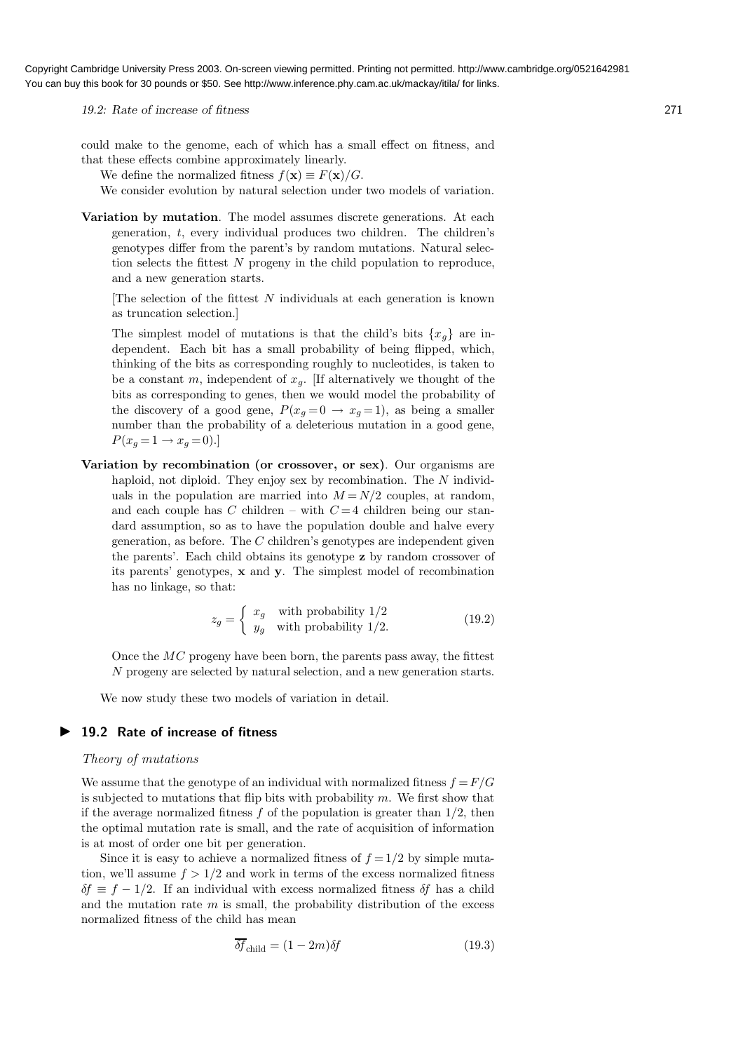19.2: Rate of increase of fitness 271

could make to the genome, each of which has a small effect on fitness, and that these effects combine approximately linearly.

We define the normalized fitness  $f(\mathbf{x}) \equiv F(\mathbf{x})/G$ .

We consider evolution by natural selection under two models of variation.

Variation by mutation. The model assumes discrete generations. At each generation,  $t$ , every individual produces two children. The children's genotypes differ from the parent's by random mutations. Natural selection selects the fittest  $N$  progeny in the child population to reproduce, and a new generation starts.

The selection of the fittest  $N$  individuals at each generation is known as truncation selection.]

The simplest model of mutations is that the child's bits  $\{x_q\}$  are independent. Each bit has a small probability of being flipped, which, thinking of the bits as corresponding roughly to nucleotides, is taken to be a constant m, independent of  $x_q$ . [If alternatively we thought of the bits as corresponding to genes, then we would model the probability of the discovery of a good gene,  $P(x_g = 0 \rightarrow x_g = 1)$ , as being a smaller number than the probability of a deleterious mutation in a good gene,  $P(x_q = 1 \rightarrow x_q = 0).$ 

Variation by recombination (or crossover, or sex). Our organisms are haploid, not diploid. They enjoy sex by recombination. The N individuals in the population are married into  $M = N/2$  couples, at random, and each couple has  $C$  children – with  $C = 4$  children being our standard assumption, so as to have the population double and halve every generation, as before. The  $C$  children's genotypes are independent given the parents'. Each child obtains its genotype z by random crossover of its parents' genotypes, x and y. The simplest model of recombination has no linkage, so that:

$$
z_g = \begin{cases} x_g & \text{with probability } 1/2\\ y_g & \text{with probability } 1/2. \end{cases}
$$
 (19.2)

Once the  $MC$  progeny have been born, the parents pass away, the fittest N progeny are selected by natural selection, and a new generation starts.

We now study these two models of variation in detail.

#### ▶ 19.2 Rate of increase of fitness

#### Theory of mutations

We assume that the genotype of an individual with normalized fitness  $f = F/G$ is subjected to mutations that flip bits with probability  $m$ . We first show that if the average normalized fitness  $f$  of the population is greater than  $1/2$ , then the optimal mutation rate is small, and the rate of acquisition of information is at most of order one bit per generation.

Since it is easy to achieve a normalized fitness of  $f = 1/2$  by simple mutation, we'll assume  $f > 1/2$  and work in terms of the excess normalized fitness  $\delta f \equiv f - 1/2$ . If an individual with excess normalized fitness  $\delta f$  has a child and the mutation rate  $m$  is small, the probability distribution of the excess normalized fitness of the child has mean

$$
\overline{\delta f}_{\text{child}} = (1 - 2m)\delta f \tag{19.3}
$$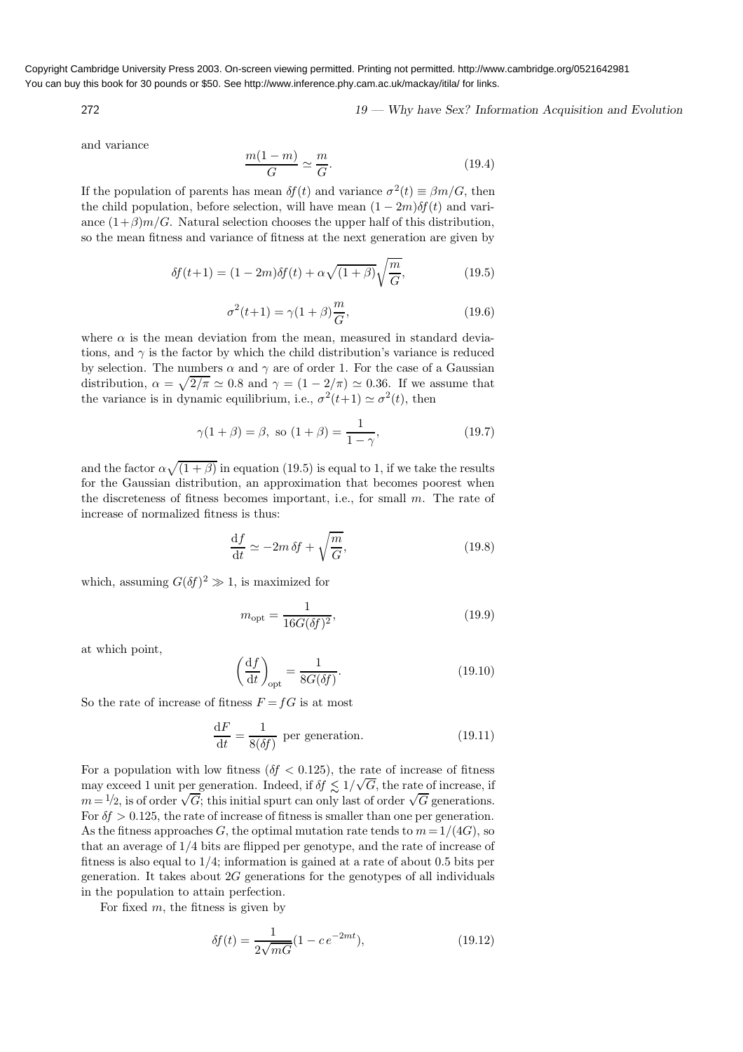272 19 — Why have Sex? Information Acquisition and Evolution

and variance

$$
\frac{m(1-m)}{G} \simeq \frac{m}{G}.\tag{19.4}
$$

If the population of parents has mean  $\delta f(t)$  and variance  $\sigma^2(t) \equiv \beta m/G$ , then the child population, before selection, will have mean  $(1 - 2m)\delta f(t)$  and variance  $(1+\beta)m/G$ . Natural selection chooses the upper half of this distribution, so the mean fitness and variance of fitness at the next generation are given by

$$
\delta f(t+1) = (1 - 2m)\delta f(t) + \alpha \sqrt{(1+\beta)} \sqrt{\frac{m}{G}},
$$
\n(19.5)

$$
\sigma^2(t+1) = \gamma(1+\beta)\frac{m}{G},\tag{19.6}
$$

where  $\alpha$  is the mean deviation from the mean, measured in standard deviations, and  $\gamma$  is the factor by which the child distribution's variance is reduced by selection. The numbers  $\alpha$  and  $\gamma$  are of order 1. For the case of a Gaussian distribution,  $\alpha = \sqrt{2/\pi} \simeq 0.8$  and  $\gamma = (1 - 2/\pi) \simeq 0.36$ . If we assume that the variance is in dynamic equilibrium, i.e.,  $\sigma^2(t+1) \simeq \sigma^2(t)$ , then

$$
\gamma(1+\beta) = \beta
$$
, so  $(1+\beta) = \frac{1}{1-\gamma}$ , (19.7)

and the factor  $\alpha \sqrt{(1+\beta)}$  in equation (19.5) is equal to 1, if we take the results for the Gaussian distribution, an approximation that becomes poorest when the discreteness of fitness becomes important, i.e., for small  $m$ . The rate of increase of normalized fitness is thus:

$$
\frac{\mathrm{d}f}{\mathrm{d}t} \simeq -2m\,\delta f + \sqrt{\frac{m}{G}},\tag{19.8}
$$

which, assuming  $G(\delta f)^2 \gg 1$ , is maximized for

$$
m_{\text{opt}} = \frac{1}{16G(\delta f)^2},\tag{19.9}
$$

at which point,

$$
\left(\frac{\mathrm{d}f}{\mathrm{d}t}\right)_{\mathrm{opt}} = \frac{1}{8G(\delta f)}.\tag{19.10}
$$

So the rate of increase of fitness  $F = fG$  is at most

$$
\frac{\mathrm{d}F}{\mathrm{d}t} = \frac{1}{8(\delta f)} \text{ per generation.} \tag{19.11}
$$

For a population with low fitness  $(\delta f < 0.125)$ , the rate of increase of fitness may exceed 1 unit per generation. Indeed, if  $\delta f \lesssim 1/\sqrt{G}$ , the rate of increase, if  $m = 1/2$ , is of order  $\sqrt{G}$ ; this initial spurt can only last of order  $\sqrt{G}$  generations. For  $\delta f > 0.125$ , the rate of increase of fitness is smaller than one per generation. As the fitness approaches G, the optimal mutation rate tends to  $m = 1/(4G)$ , so that an average of 1/4 bits are flipped per genotype, and the rate of increase of fitness is also equal to 1/4; information is gained at a rate of about 0.5 bits per generation. It takes about  $2G$  generations for the genotypes of all individuals in the population to attain perfection.

For fixed  $m$ , the fitness is given by

$$
\delta f(t) = \frac{1}{2\sqrt{mG}} (1 - c e^{-2mt}),\tag{19.12}
$$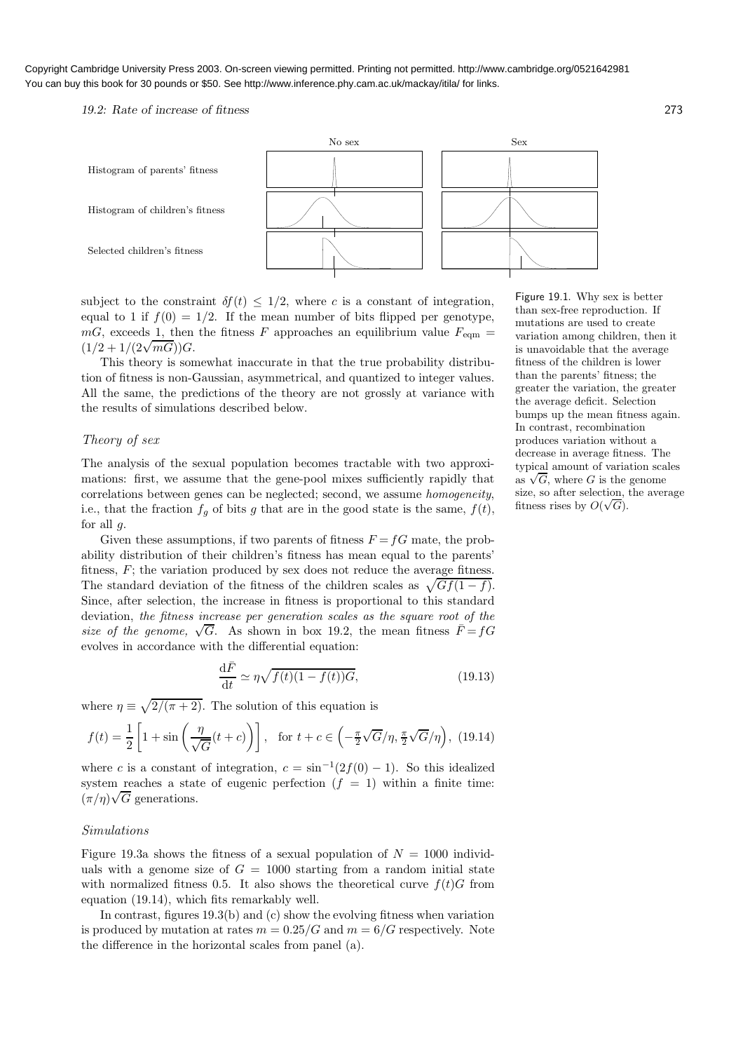#### 19.2: Rate of increase of fitness 273



subject to the constraint  $\delta f(t) \leq 1/2$ , where c is a constant of integration, equal to 1 if  $f(0) = 1/2$ . If the mean number of bits flipped per genotype,  $mG$ , exceeds 1, then the fitness F approaches an equilibrium value  $F_{\text{eqm}} =$  $(1/2 + 1/(2\sqrt{mG}))$ G.

This theory is somewhat inaccurate in that the true probability distribution of fitness is non-Gaussian, asymmetrical, and quantized to integer values. All the same, the predictions of the theory are not grossly at variance with the results of simulations described below.

# Theory of sex

The analysis of the sexual population becomes tractable with two approximations: first, we assume that the gene-pool mixes sufficiently rapidly that correlations between genes can be neglected; second, we assume homogeneity, i.e., that the fraction  $f_g$  of bits g that are in the good state is the same,  $f(t)$ , for all  $q$ .

Given these assumptions, if two parents of fitness  $F = fG$  mate, the probability distribution of their children's fitness has mean equal to the parents' fitness,  $F$ ; the variation produced by sex does not reduce the average fitness. The standard deviation of the fitness of the children scales as  $\sqrt{Gf(1-f)}$ . Since, after selection, the increase in fitness is proportional to this standard deviation, the fitness increase per generation scales as the square root of the size of the genome,  $\sqrt{G}$ . As shown in box 19.2, the mean fitness  $\bar{F} = fG$ evolves in accordance with the differential equation:

$$
\frac{\mathrm{d}\bar{F}}{\mathrm{d}t} \simeq \eta \sqrt{f(t)(1 - f(t))G},\tag{19.13}
$$

where  $\eta \equiv \sqrt{2/(\pi + 2)}$ . The solution of this equation is

$$
f(t) = \frac{1}{2} \left[ 1 + \sin\left(\frac{\eta}{\sqrt{G}}(t+c)\right) \right], \quad \text{for } t + c \in \left(-\frac{\pi}{2}\sqrt{G}/\eta, \frac{\pi}{2}\sqrt{G}/\eta\right), \tag{19.14}
$$

where c is a constant of integration,  $c = \sin^{-1}(2f(0) - 1)$ . So this idealized system reaches a state of eugenic perfection  $(f = 1)$  within a finite time:  $(\pi/\eta)\sqrt{G}$  generations.

#### Simulations

Figure 19.3a shows the fitness of a sexual population of  $N = 1000$  individuals with a genome size of  $G = 1000$  starting from a random initial state with normalized fitness 0.5. It also shows the theoretical curve  $f(t)G$  from equation (19.14), which fits remarkably well.

In contrast, figures 19.3(b) and (c) show the evolving fitness when variation is produced by mutation at rates  $m = 0.25/G$  and  $m = 6/G$  respectively. Note the difference in the horizontal scales from panel (a).

Figure 19.1. Why sex is better than sex-free reproduction. If mutations are used to create variation among children, then it is unavoidable that the average fitness of the children is lower than the parents' fitness; the greater the variation, the greater the average deficit. Selection bumps up the mean fitness again. In contrast, recombination produces variation without a decrease in average fitness. The typical amount of variation scales as  $\sqrt{G}$ , where G is the genome size, so after selection, the average fitness rises by  $O(\sqrt{G})$ .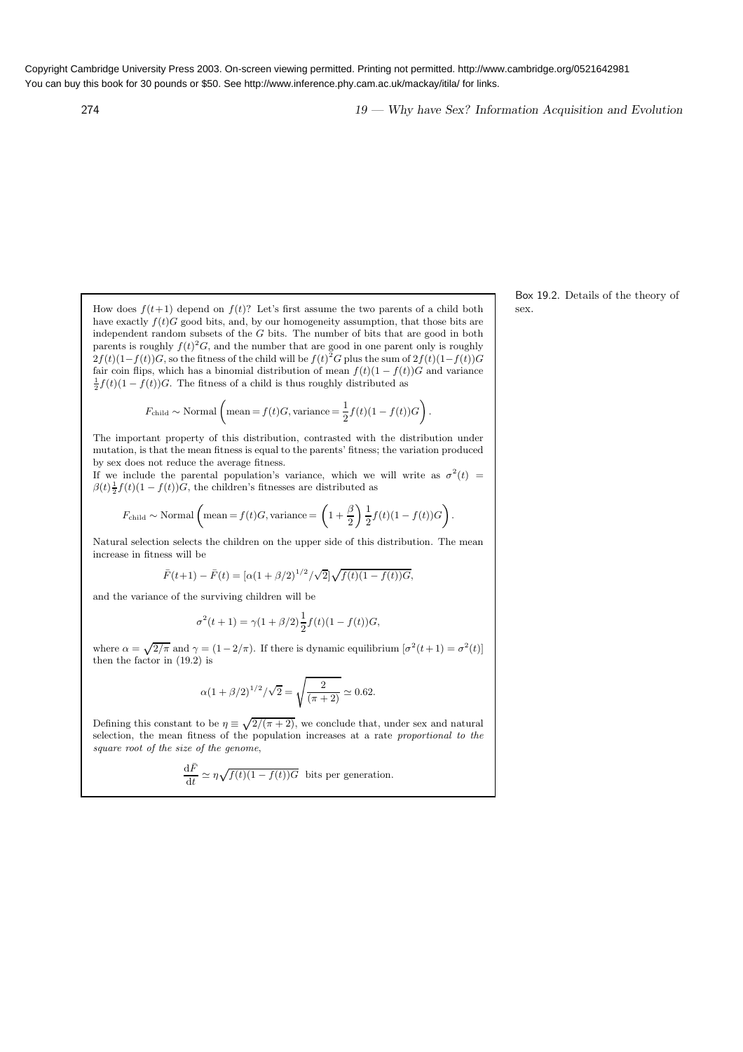274 19 — Why have Sex? Information Acquisition and Evolution

How does  $f(t+1)$  depend on  $f(t)$ ? Let's first assume the two parents of a child both sex. have exactly  $f(t)$ G good bits, and, by our homogeneity assumption, that those bits are independent random subsets of the G bits. The number of bits that are good in both parents is roughly  $f(t)^2 G$ , and the number that are good in one parent only is roughly  $2f(t)(1-f(t))G$ , so the fitness of the child will be  $f(t)^2G$  plus the sum of  $2f(t)(1-f(t))G$ fair coin flips, which has a binomial distribution of mean  $f(t)(1 - f(t))G$  and variance  $\frac{1}{2}f(t)(1-f(t))$ G. The fitness of a child is thus roughly distributed as

$$
F_{\text{child}} \sim \text{Normal}\left(\text{mean} = f(t)G, \text{variance} = \frac{1}{2}f(t)(1 - f(t))G\right).
$$

The important property of this distribution, contrasted with the distribution under mutation, is that the mean fitness is equal to the parents' fitness; the variation produced by sex does not reduce the average fitness.

If we include the parental population's variance, which we will write as  $\sigma^2(t)$  =  $\beta(t) \frac{1}{2} f(t) (1 - f(t)) \cdot G$ , the children's fitnesses are distributed as

$$
F_{\text{child}} \sim \text{Normal}\left(\text{mean} = f(t)G, \text{variance} = \left(1 + \frac{\beta}{2}\right) \frac{1}{2} f(t) (1 - f(t))G\right).
$$

Natural selection selects the children on the upper side of this distribution. The mean increase in fitness will be

$$
\bar{F}(t+1) - \bar{F}(t) = [\alpha(1+\beta/2)^{1/2}/\sqrt{2}]\sqrt{f(t)(1-f(t))G},
$$

and the variance of the surviving children will be

$$
\sigma^{2}(t+1) = \gamma(1+\beta/2)\frac{1}{2}f(t)(1-f(t))G,
$$

where  $\alpha = \sqrt{2/\pi}$  and  $\gamma = (1 - 2/\pi)$ . If there is dynamic equilibrium  $[\sigma^2(t+1) = \sigma^2(t)]$ then the factor in (19.2) is

$$
\alpha (1 + \beta/2)^{1/2} / \sqrt{2} = \sqrt{\frac{2}{(\pi + 2)}} \simeq 0.62.
$$

Defining this constant to be  $\eta \equiv \sqrt{2/(\pi + 2)}$ , we conclude that, under sex and natural selection, the mean fitness of the population increases at a rate proportional to the square root of the size of the genome,

$$
\frac{\mathrm{d} \bar{F}}{\mathrm{d} t} \simeq \eta \sqrt{f(t) (1 - f(t)) G} \text{ bits per generation.}
$$

Box 19.2. Details of the theory of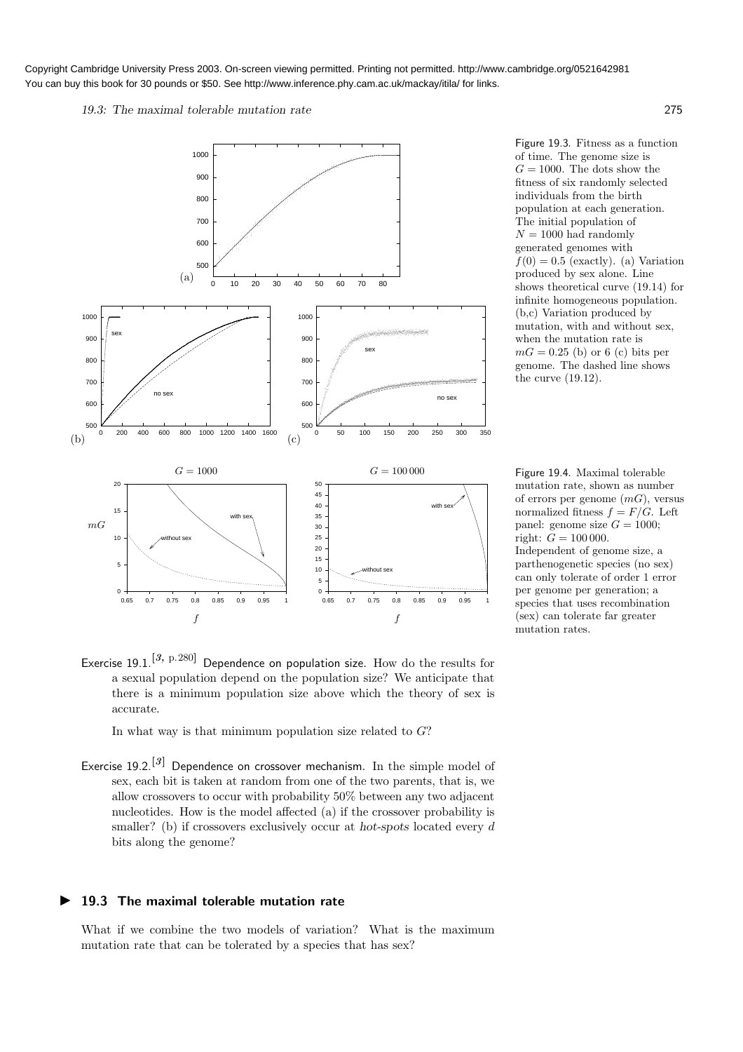19.3: The maximal tolerable mutation rate 275



Figure 19.3. Fitness as a function of time. The genome size is  $G = 1000$ . The dots show the fitness of six randomly selected individuals from the birth population at each generation. The initial population of  $N = 1000$  had randomly generated genomes with  $f(0) = 0.5$  (exactly). (a) Variation produced by sex alone. Line shows theoretical curve (19.14) for infinite homogeneous population. (b,c) Variation produced by mutation, with and without sex, when the mutation rate is  $mG = 0.25$  (b) or 6 (c) bits per genome. The dashed line shows the curve (19.12).

Figure 19.4. Maximal tolerable mutation rate, shown as number of errors per genome  $(mG)$ , versus normalized fitness  $f = F/G$ . Left panel: genome size  $G = 1000$ ; right:  $G = 100 000$ . Independent of genome size, a parthenogenetic species (no sex) can only tolerate of order 1 error per genome per generation; a species that uses recombination (sex) can tolerate far greater mutation rates.

Exercise 19.1.<sup>[3, p.280]</sup> Dependence on population size. How do the results for a sexual population depend on the population size? We anticipate that there is a minimum population size above which the theory of sex is accurate.

In what way is that minimum population size related to  $G$ ?

Exercise 19.2.<sup>[3]</sup> Dependence on crossover mechanism. In the simple model of sex, each bit is taken at random from one of the two parents, that is, we allow crossovers to occur with probability 50% between any two adjacent nucleotides. How is the model affected (a) if the crossover probability is smaller? (b) if crossovers exclusively occur at hot-spots located every d bits along the genome?

## ▶ 19.3 The maximal tolerable mutation rate

What if we combine the two models of variation? What is the maximum mutation rate that can be tolerated by a species that has sex?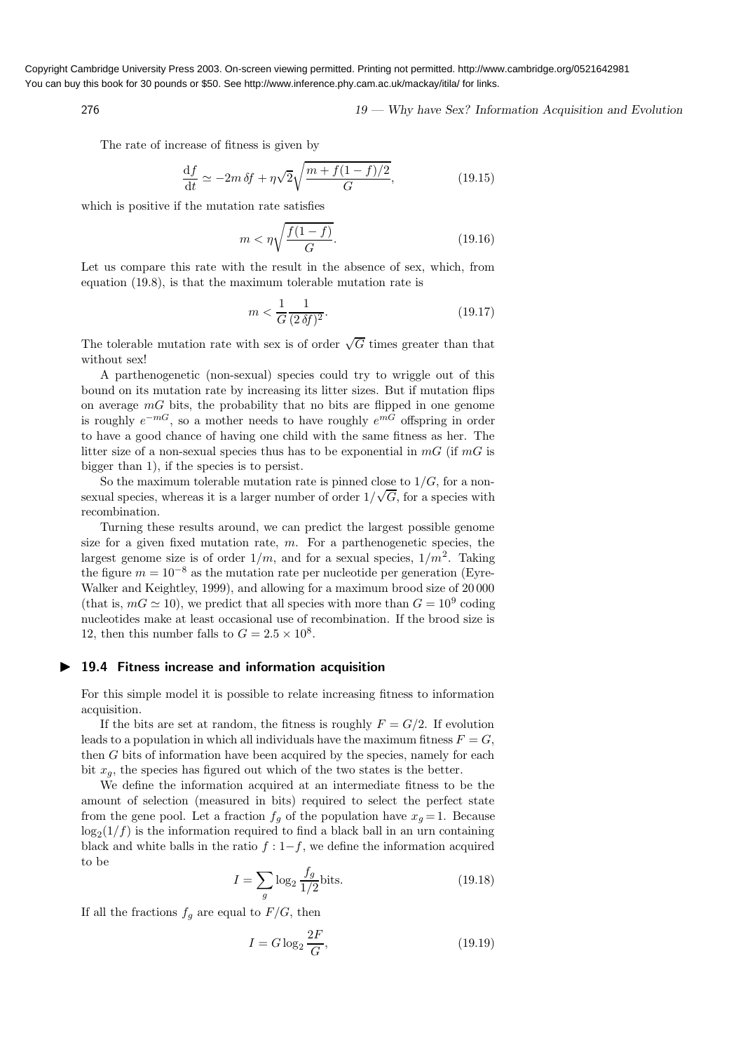276 19 — Why have Sex? Information Acquisition and Evolution

The rate of increase of fitness is given by

$$
\frac{\mathrm{d}f}{\mathrm{d}t} \simeq -2m\,\delta f + \eta\sqrt{2}\sqrt{\frac{m+f(1-f)/2}{G}},\tag{19.15}
$$

which is positive if the mutation rate satisfies

$$
m < \eta \sqrt{\frac{f(1-f)}{G}}.\tag{19.16}
$$

Let us compare this rate with the result in the absence of sex, which, from equation (19.8), is that the maximum tolerable mutation rate is

$$
m < \frac{1}{G} \frac{1}{(2\,\delta f)^2}.\tag{19.17}
$$

The tolerable mutation rate with sex is of order  $\sqrt{G}$  times greater than that without sex!

A parthenogenetic (non-sexual) species could try to wriggle out of this bound on its mutation rate by increasing its litter sizes. But if mutation flips on average  $mG$  bits, the probability that no bits are flipped in one genome is roughly  $e^{-mG}$ , so a mother needs to have roughly  $e^{m\tilde{G}}$  offspring in order to have a good chance of having one child with the same fitness as her. The litter size of a non-sexual species thus has to be exponential in  $mG$  (if  $mG$  is bigger than 1), if the species is to persist.

So the maximum tolerable mutation rate is pinned close to  $1/G$ , for a nonsexual species, whereas it is a larger number of order  $1/\sqrt{G}$ , for a species with recombination.

Turning these results around, we can predict the largest possible genome size for a given fixed mutation rate,  $m$ . For a parthenogenetic species, the largest genome size is of order  $1/m$ , and for a sexual species,  $1/m^2$ . Taking the figure  $m = 10^{-8}$  as the mutation rate per nucleotide per generation (Eyre-Walker and Keightley, 1999), and allowing for a maximum brood size of 20 000 (that is,  $mG \simeq 10$ ), we predict that all species with more than  $G = 10^9$  coding nucleotides make at least occasional use of recombination. If the brood size is 12, then this number falls to  $G = 2.5 \times 10^8$ .

#### ▶ 19.4 Fitness increase and information acquisition

For this simple model it is possible to relate increasing fitness to information acquisition.

If the bits are set at random, the fitness is roughly  $F = G/2$ . If evolution leads to a population in which all individuals have the maximum fitness  $F = G$ . then  $G$  bits of information have been acquired by the species, namely for each bit  $x_q$ , the species has figured out which of the two states is the better.

We define the information acquired at an intermediate fitness to be the amount of selection (measured in bits) required to select the perfect state from the gene pool. Let a fraction  $f_a$  of the population have  $x_a = 1$ . Because  $\log_2(1/f)$  is the information required to find a black ball in an urn containing black and white balls in the ratio  $f : 1-f$ , we define the information acquired to be

$$
I = \sum_{g} \log_2 \frac{f_g}{1/2} \text{bits.} \tag{19.18}
$$

If all the fractions  $f_g$  are equal to  $F/G$ , then

$$
I = G \log_2 \frac{2F}{G},\tag{19.19}
$$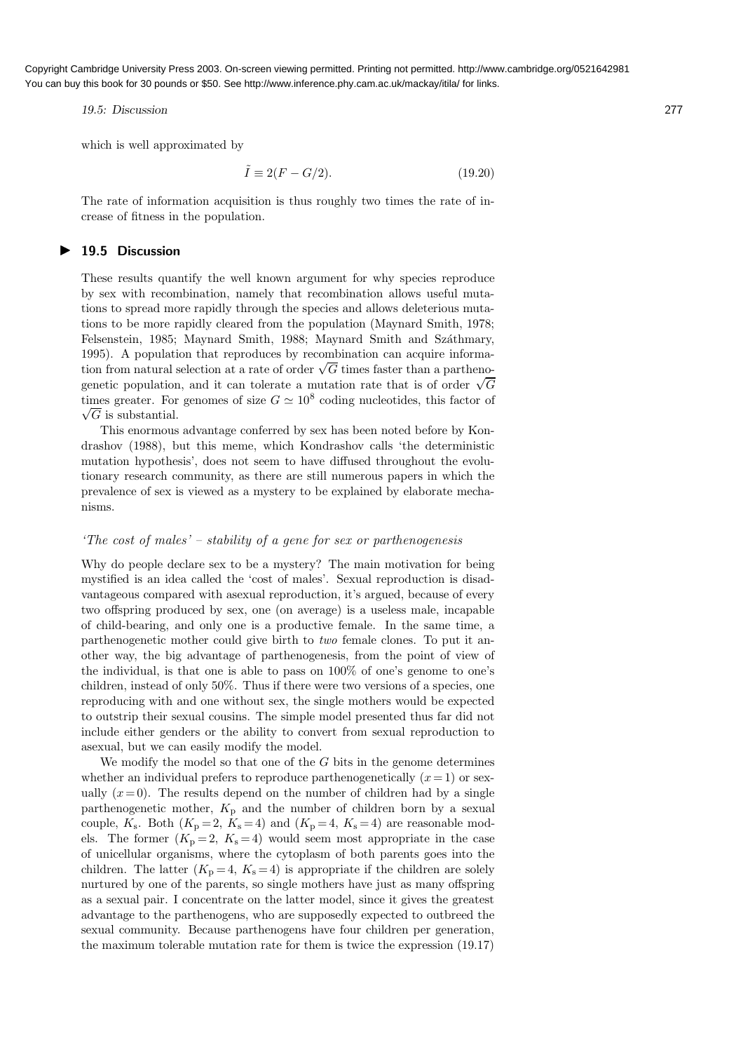19.5: Discussion 277

which is well approximated by

$$
\tilde{I} \equiv 2(F - G/2). \tag{19.20}
$$

The rate of information acquisition is thus roughly two times the rate of increase of fitness in the population.

# ▶ 19.5 Discussion

These results quantify the well known argument for why species reproduce by sex with recombination, namely that recombination allows useful mutations to spread more rapidly through the species and allows deleterious mutations to be more rapidly cleared from the population (Maynard Smith, 1978; Felsenstein, 1985; Maynard Smith, 1988; Maynard Smith and Száthmary, 1995). A population that reproduces by recombination can acquire information from natural selection at a rate of order  $\sqrt{G}$  times faster than a parthenogenetic population, and it can tolerate a mutation rate that is of order  $\sqrt{G}$ times greater. For genomes of size  $G \simeq 10^8$  coding nucleotides, this factor of  $\sqrt{G}$  is substantial.

This enormous advantage conferred by sex has been noted before by Kondrashov (1988), but this meme, which Kondrashov calls 'the deterministic mutation hypothesis', does not seem to have diffused throughout the evolutionary research community, as there are still numerous papers in which the prevalence of sex is viewed as a mystery to be explained by elaborate mechanisms.

## 'The cost of males' – stability of a gene for sex or parthenogenesis

Why do people declare sex to be a mystery? The main motivation for being mystified is an idea called the 'cost of males'. Sexual reproduction is disadvantageous compared with asexual reproduction, it's argued, because of every two offspring produced by sex, one (on average) is a useless male, incapable of child-bearing, and only one is a productive female. In the same time, a parthenogenetic mother could give birth to two female clones. To put it another way, the big advantage of parthenogenesis, from the point of view of the individual, is that one is able to pass on 100% of one's genome to one's children, instead of only 50%. Thus if there were two versions of a species, one reproducing with and one without sex, the single mothers would be expected to outstrip their sexual cousins. The simple model presented thus far did not include either genders or the ability to convert from sexual reproduction to asexual, but we can easily modify the model.

We modify the model so that one of the  $G$  bits in the genome determines whether an individual prefers to reproduce parthenogenetically  $(x=1)$  or sexually  $(x=0)$ . The results depend on the number of children had by a single parthenogenetic mother,  $K_p$  and the number of children born by a sexual couple,  $K_s$ . Both  $(K_p=2, K_s=4)$  and  $(K_p=4, K_s=4)$  are reasonable models. The former  $(K_p = 2, K_s = 4)$  would seem most appropriate in the case of unicellular organisms, where the cytoplasm of both parents goes into the children. The latter  $(K_p = 4, K_s = 4)$  is appropriate if the children are solely nurtured by one of the parents, so single mothers have just as many offspring as a sexual pair. I concentrate on the latter model, since it gives the greatest advantage to the parthenogens, who are supposedly expected to outbreed the sexual community. Because parthenogens have four children per generation, the maximum tolerable mutation rate for them is twice the expression (19.17)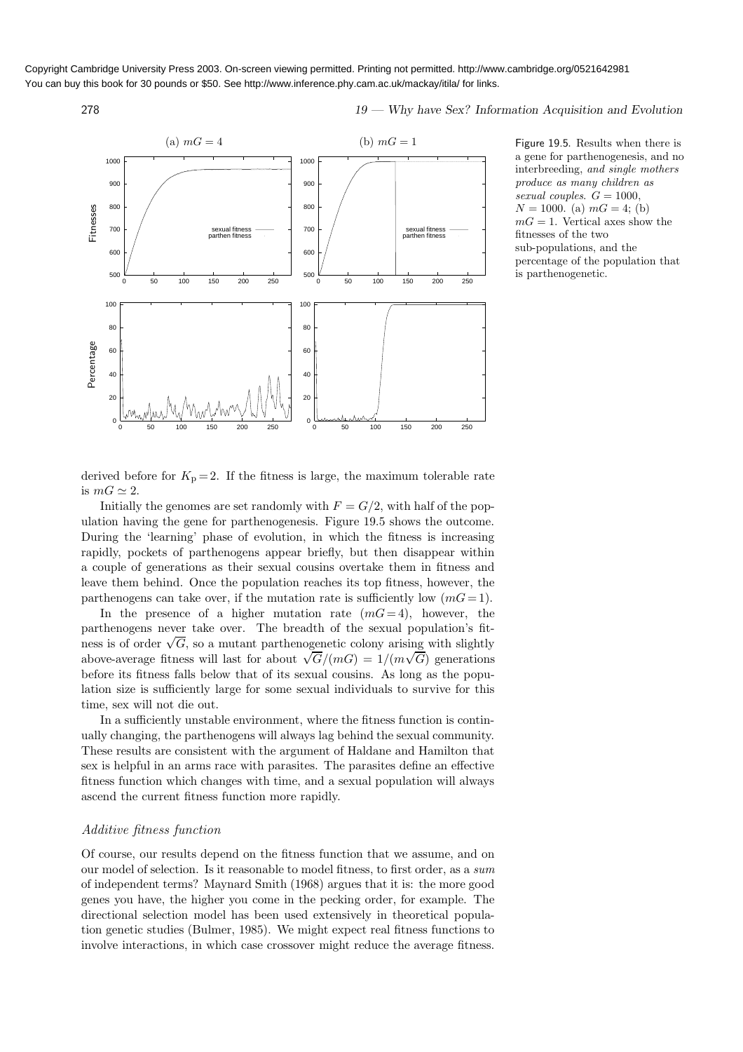278 19 — Why have Sex? Information Acquisition and Evolution

(a)  $mG = 4$  (b)  $mG = 1$ Fitnesses 500 600 700 800 900 1000 0 50 100 150 200 250 sexual fitness parthen fitness 500 600 700 800 900 1000 0 50 100 150 200 250 sexual fitness parthen fitness Percentage 0 20 40 60 80 100 0 50 100 150 200 250  $\overline{0}$  $20$  $\overline{40}$ 60  $80$ 100 0 50 100 150 200 250

Figure 19.5. Results when there is a gene for parthenogenesis, and no interbreeding, and single mothers produce as many children as sexual couples.  $G = 1000$ ,  $N = 1000.$  (a)  $mG = 4$ ; (b)  $mG = 1$ . Vertical axes show the fitnesses of the two sub-populations, and the percentage of the population that is parthenogenetic.

derived before for  $K_p = 2$ . If the fitness is large, the maximum tolerable rate is  $mG \simeq 2$ .

Initially the genomes are set randomly with  $F = G/2$ , with half of the population having the gene for parthenogenesis. Figure 19.5 shows the outcome. During the 'learning' phase of evolution, in which the fitness is increasing rapidly, pockets of parthenogens appear briefly, but then disappear within a couple of generations as their sexual cousins overtake them in fitness and leave them behind. Once the population reaches its top fitness, however, the parthenogens can take over, if the mutation rate is sufficiently low  $(mG=1)$ .

In the presence of a higher mutation rate  $(mG=4)$ , however, the parthenogens never take over. The breadth of the sexual population's fitness is of order  $\sqrt{G}$ , so a mutant parthenogenetic colony arising with slightly above-average fitness will last for about  $\sqrt{G}/(mG) = 1/(m\sqrt{G})$  generations before its fitness falls below that of its sexual cousins. As long as the population size is sufficiently large for some sexual individuals to survive for this time, sex will not die out.

In a sufficiently unstable environment, where the fitness function is continually changing, the parthenogens will always lag behind the sexual community. These results are consistent with the argument of Haldane and Hamilton that sex is helpful in an arms race with parasites. The parasites define an effective fitness function which changes with time, and a sexual population will always ascend the current fitness function more rapidly.

#### Additive fitness function

Of course, our results depend on the fitness function that we assume, and on our model of selection. Is it reasonable to model fitness, to first order, as a sum of independent terms? Maynard Smith (1968) argues that it is: the more good genes you have, the higher you come in the pecking order, for example. The directional selection model has been used extensively in theoretical population genetic studies (Bulmer, 1985). We might expect real fitness functions to involve interactions, in which case crossover might reduce the average fitness.

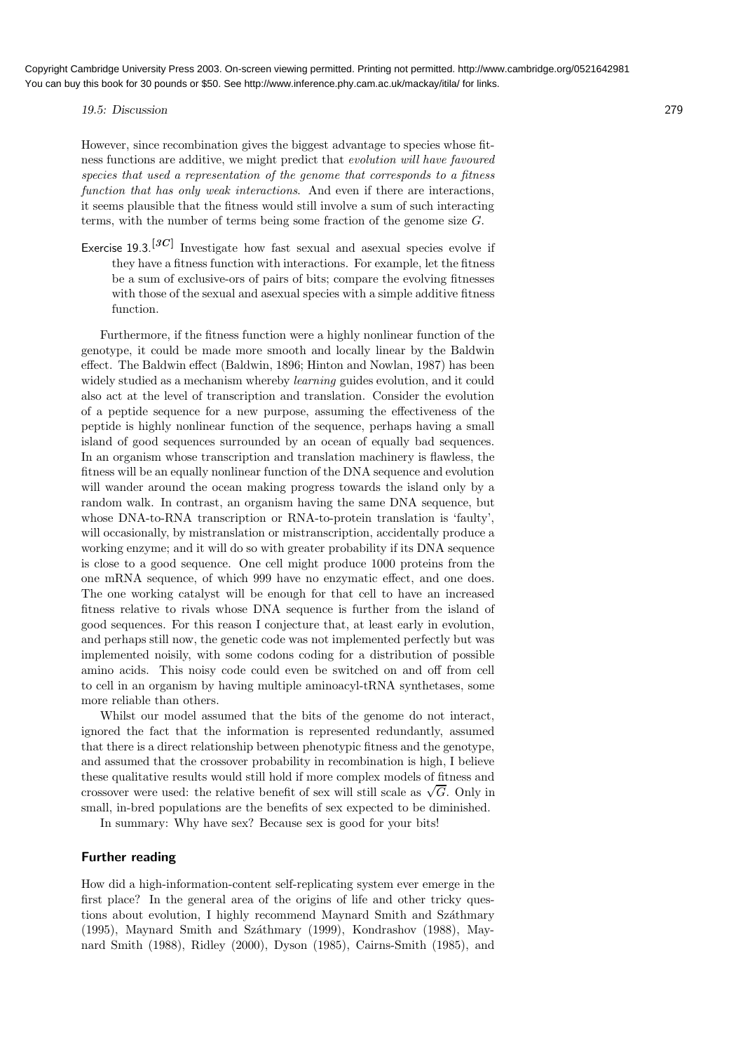19.5: Discussion 279

However, since recombination gives the biggest advantage to species whose fitness functions are additive, we might predict that evolution will have favoured species that used a representation of the genome that corresponds to a fitness function that has only weak interactions. And even if there are interactions, it seems plausible that the fitness would still involve a sum of such interacting terms, with the number of terms being some fraction of the genome size G.

Exercise 19.3.<sup>[3C]</sup> Investigate how fast sexual and asexual species evolve if they have a fitness function with interactions. For example, let the fitness be a sum of exclusive-ors of pairs of bits; compare the evolving fitnesses with those of the sexual and asexual species with a simple additive fitness function.

Furthermore, if the fitness function were a highly nonlinear function of the genotype, it could be made more smooth and locally linear by the Baldwin effect. The Baldwin effect (Baldwin, 1896; Hinton and Nowlan, 1987) has been widely studied as a mechanism whereby *learning* guides evolution, and it could also act at the level of transcription and translation. Consider the evolution of a peptide sequence for a new purpose, assuming the effectiveness of the peptide is highly nonlinear function of the sequence, perhaps having a small island of good sequences surrounded by an ocean of equally bad sequences. In an organism whose transcription and translation machinery is flawless, the fitness will be an equally nonlinear function of the DNA sequence and evolution will wander around the ocean making progress towards the island only by a random walk. In contrast, an organism having the same DNA sequence, but whose DNA-to-RNA transcription or RNA-to-protein translation is 'faulty', will occasionally, by mistranslation or mistranscription, accidentally produce a working enzyme; and it will do so with greater probability if its DNA sequence is close to a good sequence. One cell might produce 1000 proteins from the one mRNA sequence, of which 999 have no enzymatic effect, and one does. The one working catalyst will be enough for that cell to have an increased fitness relative to rivals whose DNA sequence is further from the island of good sequences. For this reason I conjecture that, at least early in evolution, and perhaps still now, the genetic code was not implemented perfectly but was implemented noisily, with some codons coding for a distribution of possible amino acids. This noisy code could even be switched on and off from cell to cell in an organism by having multiple aminoacyl-tRNA synthetases, some more reliable than others.

Whilst our model assumed that the bits of the genome do not interact, ignored the fact that the information is represented redundantly, assumed that there is a direct relationship between phenotypic fitness and the genotype, and assumed that the crossover probability in recombination is high, I believe these qualitative results would still hold if more complex models of fitness and crossover were used: the relative benefit of sex will still scale as  $\sqrt{G}$ . Only in small, in-bred populations are the benefits of sex expected to be diminished.

In summary: Why have sex? Because sex is good for your bits!

## Further reading

How did a high-information-content self-replicating system ever emerge in the first place? In the general area of the origins of life and other tricky questions about evolution, I highly recommend Maynard Smith and Száthmary (1995), Maynard Smith and Száthmary (1999), Kondrashov (1988), Maynard Smith (1988), Ridley (2000), Dyson (1985), Cairns-Smith (1985), and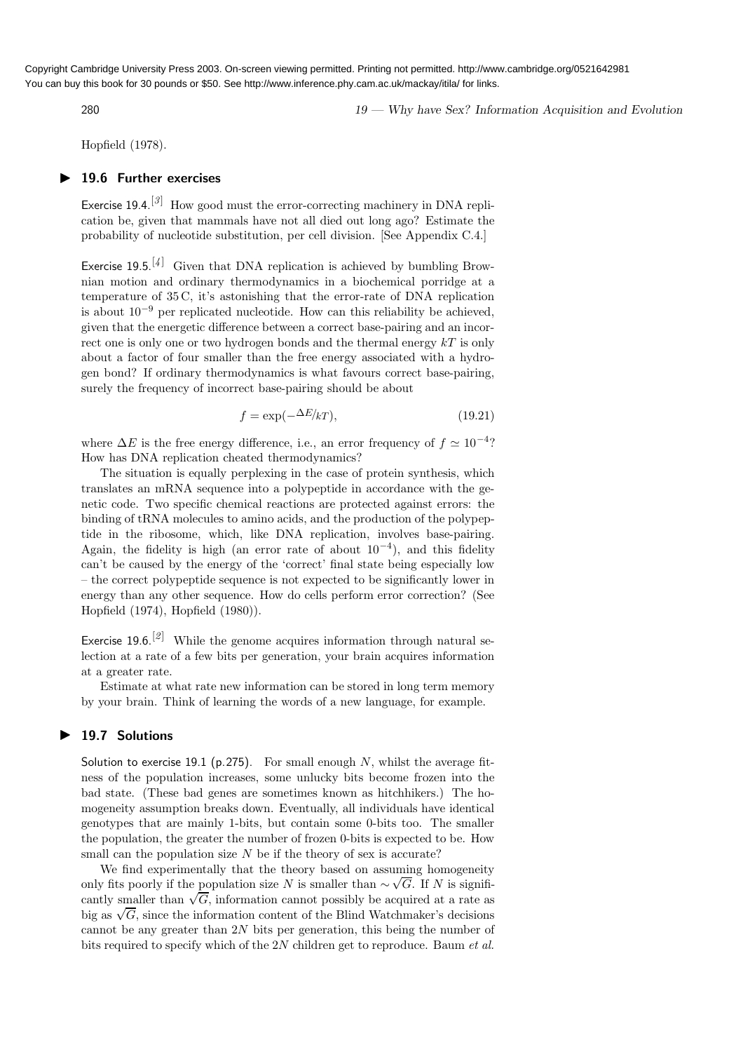280 19 — Why have Sex? Information Acquisition and Evolution

Hopfield (1978).

# ▶ 19.6 Further exercises

Exercise 19.4.<sup>[3]</sup> How good must the error-correcting machinery in DNA replication be, given that mammals have not all died out long ago? Estimate the probability of nucleotide substitution, per cell division. [See Appendix C.4.]

Exercise 19.5.<sup>[4]</sup> Given that DNA replication is achieved by bumbling Brownian motion and ordinary thermodynamics in a biochemical porridge at a temperature of 35 C, it's astonishing that the error-rate of DNA replication is about  $10^{-9}$  per replicated nucleotide. How can this reliability be achieved. given that the energetic difference between a correct base-pairing and an incorrect one is only one or two hydrogen bonds and the thermal energy  $kT$  is only about a factor of four smaller than the free energy associated with a hydrogen bond? If ordinary thermodynamics is what favours correct base-pairing, surely the frequency of incorrect base-pairing should be about

$$
f = \exp(-\frac{\Delta E}{kT}),\tag{19.21}
$$

where  $\Delta E$  is the free energy difference, i.e., an error frequency of  $f \simeq 10^{-4}$ ? How has DNA replication cheated thermodynamics?

The situation is equally perplexing in the case of protein synthesis, which translates an mRNA sequence into a polypeptide in accordance with the genetic code. Two specific chemical reactions are protected against errors: the binding of tRNA molecules to amino acids, and the production of the polypeptide in the ribosome, which, like DNA replication, involves base-pairing. Again, the fidelity is high (an error rate of about  $10^{-4}$ ), and this fidelity can't be caused by the energy of the 'correct' final state being especially low – the correct polypeptide sequence is not expected to be significantly lower in energy than any other sequence. How do cells perform error correction? (See Hopfield (1974), Hopfield (1980)).

Exercise 19.6.<sup>[2]</sup> While the genome acquires information through natural selection at a rate of a few bits per generation, your brain acquires information at a greater rate.

Estimate at what rate new information can be stored in long term memory by your brain. Think of learning the words of a new language, for example.

## ▶ 19.7 Solutions

Solution to exercise 19.1 (p.275). For small enough N, whilst the average fitness of the population increases, some unlucky bits become frozen into the bad state. (These bad genes are sometimes known as hitchhikers.) The homogeneity assumption breaks down. Eventually, all individuals have identical genotypes that are mainly 1-bits, but contain some 0-bits too. The smaller the population, the greater the number of frozen 0-bits is expected to be. How small can the population size  $N$  be if the theory of sex is accurate?

We find experimentally that the theory based on assuming homogeneity only fits poorly if the population size N is smaller than  $\sim \sqrt{G}$ . If N is significantly smaller than  $\sqrt{G}$ , information cannot possibly be acquired at a rate as big as  $\sqrt{G}$ , since the information content of the Blind Watchmaker's decisions cannot be any greater than  $2N$  bits per generation, this being the number of bits required to specify which of the 2N children get to reproduce. Baum et al.